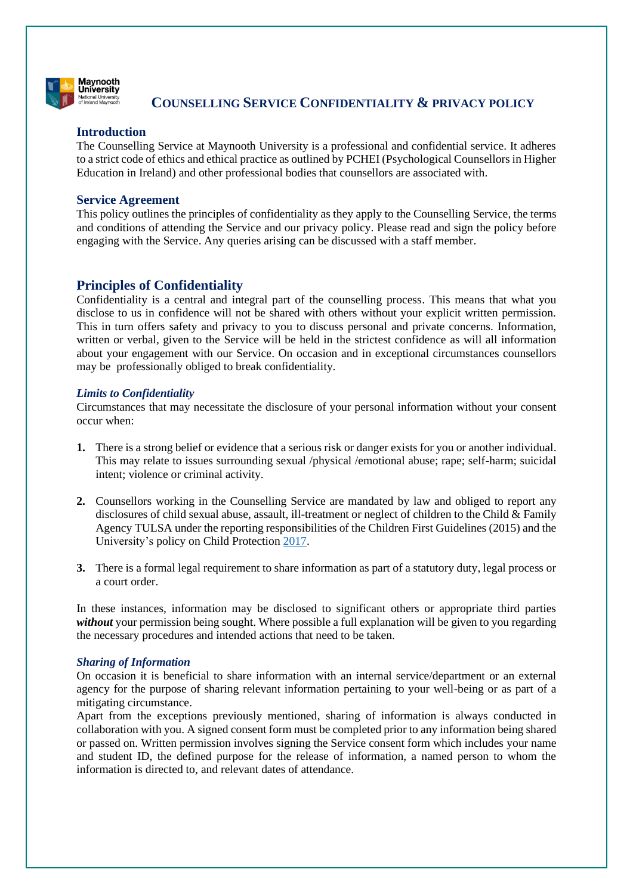

# **COUNSELLING SERVICE CONFIDENTIALITY & PRIVACY POLICY**

# **Introduction**

The Counselling Service at Maynooth University is a professional and confidential service. It adheres to a strict code of ethics and ethical practice as outlined by PCHEI (Psychological Counsellors in Higher Education in Ireland) and other professional bodies that counsellors are associated with.

# **Service Agreement**

This policy outlines the principles of confidentiality as they apply to the Counselling Service, the terms and conditions of attending the Service and our privacy policy. Please read and sign the policy before engaging with the Service. Any queries arising can be discussed with a staff member.

# **Principles of Confidentiality**

Confidentiality is a central and integral part of the counselling process. This means that what you disclose to us in confidence will not be shared with others without your explicit written permission. This in turn offers safety and privacy to you to discuss personal and private concerns. Information, written or verbal, given to the Service will be held in the strictest confidence as will all information about your engagement with our Service. On occasion and in exceptional circumstances counsellors may be professionally obliged to break confidentiality.

# *Limits to Confidentiality*

Circumstances that may necessitate the disclosure of your personal information without your consent occur when:

- **1.** There is a strong belief or evidence that a serious risk or danger exists for you or another individual. This may relate to issues surrounding sexual /physical /emotional abuse; rape; self-harm; suicidal intent; violence or criminal activity.
- **2.** Counsellors working in the Counselling Service are mandated by law and obliged to report any disclosures of child sexual abuse, assault, ill-treatment or neglect of children to the Child & Family Agency TULSA under the reporting responsibilities of the Children First Guidelines (2015) and the University's policy on Child Protection [2017.](https://www.maynoothuniversity.ie/sites/default/files/assets/document/Child%20Protection%20Policy%20%28Dec%202017%29_1.pdf)
- **3.** There is a formal legal requirement to share information as part of a statutory duty, legal process or a court order.

In these instances, information may be disclosed to significant others or appropriate third parties *without* your permission being sought. Where possible a full explanation will be given to you regarding the necessary procedures and intended actions that need to be taken.

# *Sharing of Information*

On occasion it is beneficial to share information with an internal service/department or an external agency for the purpose of sharing relevant information pertaining to your well-being or as part of a mitigating circumstance.

Apart from the exceptions previously mentioned, sharing of information is always conducted in collaboration with you. A signed consent form must be completed prior to any information being shared or passed on. Written permission involves signing the Service consent form which includes your name and student ID, the defined purpose for the release of information, a named person to whom the information is directed to, and relevant dates of attendance.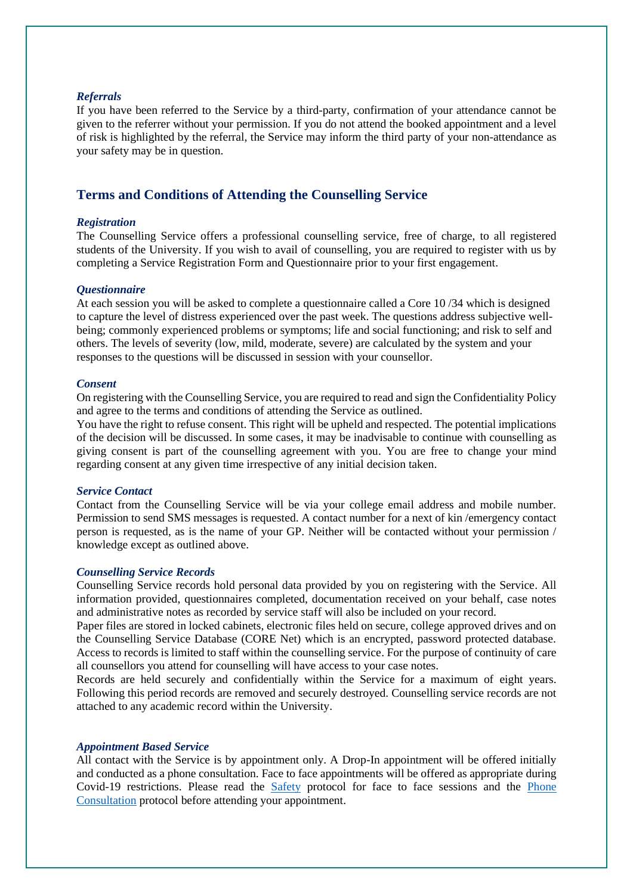### *Referrals*

If you have been referred to the Service by a third-party, confirmation of your attendance cannot be given to the referrer without your permission. If you do not attend the booked appointment and a level of risk is highlighted by the referral, the Service may inform the third party of your non-attendance as your safety may be in question.

# **Terms and Conditions of Attending the Counselling Service**

### *Registration*

The Counselling Service offers a professional counselling service, free of charge, to all registered students of the University. If you wish to avail of counselling, you are required to register with us by completing a Service Registration Form and Questionnaire prior to your first engagement.

## *Questionnaire*

At each session you will be asked to complete a questionnaire called a Core 10 /34 which is designed to capture the level of distress experienced over the past week. The questions address subjective wellbeing; commonly experienced problems or symptoms; life and social functioning; and risk to self and others. The levels of severity (low, mild, moderate, severe) are calculated by the system and your responses to the questions will be discussed in session with your counsellor.

#### *Consent*

On registering with the Counselling Service, you are required to read and sign the Confidentiality Policy and agree to the terms and conditions of attending the Service as outlined.

You have the right to refuse consent. This right will be upheld and respected. The potential implications of the decision will be discussed. In some cases, it may be inadvisable to continue with counselling as giving consent is part of the counselling agreement with you. You are free to change your mind regarding consent at any given time irrespective of any initial decision taken.

#### *Service Contact*

Contact from the Counselling Service will be via your college email address and mobile number. Permission to send SMS messages is requested. A contact number for a next of kin /emergency contact person is requested, as is the name of your GP. Neither will be contacted without your permission / knowledge except as outlined above.

#### *Counselling Service Records*

Counselling Service records hold personal data provided by you on registering with the Service. All information provided, questionnaires completed, documentation received on your behalf, case notes and administrative notes as recorded by service staff will also be included on your record.

Paper files are stored in locked cabinets, electronic files held on secure, college approved drives and on the Counselling Service Database (CORE Net) which is an encrypted, password protected database. Access to records is limited to staff within the counselling service. For the purpose of continuity of care all counsellors you attend for counselling will have access to your case notes.

Records are held securely and confidentially within the Service for a maximum of eight years. Following this period records are removed and securely destroyed. Counselling service records are not attached to any academic record within the University.

#### *Appointment Based Service*

All contact with the Service is by appointment only. A Drop-In appointment will be offered initially and conducted as a phone consultation. Face to face appointments will be offered as appropriate during Covid-19 restrictions. Please read the [Safety](https://www.maynoothuniversity.ie/sites/default/files/filefield_paths/Safety%20Protocol.pdf) protocol for face to face sessions and the [Phone](https://www.maynoothuniversity.ie/campus-life/student-wellbeing-support/counselling)  [Consultation](https://www.maynoothuniversity.ie/campus-life/student-wellbeing-support/counselling) protocol before attending your appointment.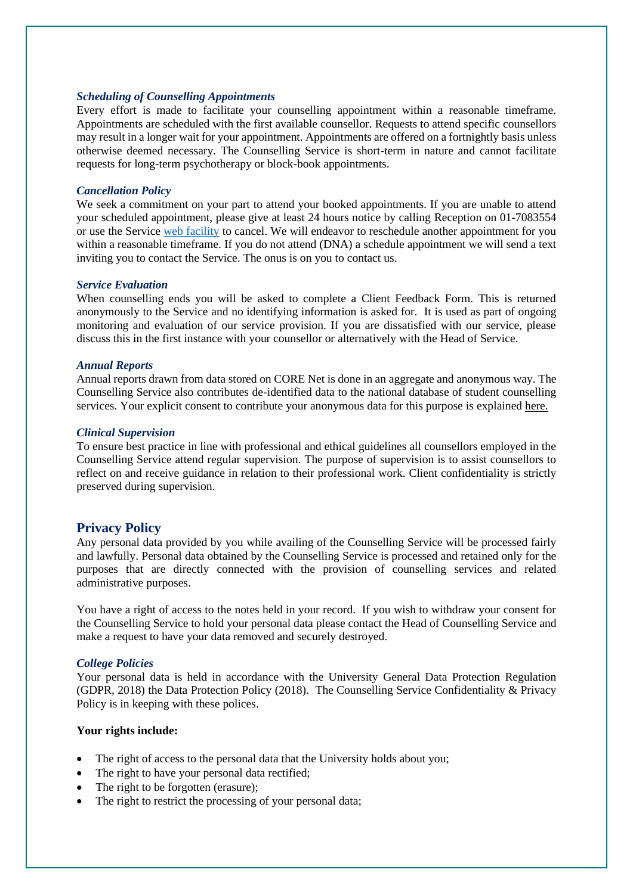## *Scheduling of Counselling Appointments*

Every effort is made to facilitate your counselling appointment within a reasonable timeframe. Appointments are scheduled with the first available counsellor. Requests to attend specific counsellors may result in a longer wait for your appointment. Appointments are offered on a fortnightly basis unless otherwise deemed necessary. The Counselling Service is short-term in nature and cannot facilitate requests for long-term psychotherapy or block-book appointments.

## *Cancellation Policy*

We seek a commitment on your part to attend your booked appointments. If you are unable to attend your scheduled appointment, please give at least 24 hours notice by calling Reception on 01-7083554 or use the Service web [facility](https://www.maynoothuniversity.ie/node/394194) to cancel. We will endeavor to reschedule another appointment for you within a reasonable timeframe. If you do not attend (DNA) a schedule appointment we will send a text inviting you to contact the Service. The onus is on you to contact us.

#### *Service Evaluation*

When counselling ends you will be asked to complete a Client Feedback Form. This is returned anonymously to the Service and no identifying information is asked for. It is used as part of ongoing monitoring and evaluation of our service provision. If you are dissatisfied with our service, please discuss this in the first instance with your counsellor or alternatively with the Head of Service.

### *Annual Reports*

Annual reports drawn from data stored on CORE Net is done in an aggregate and anonymous way. The Counselling Service also contributes de-identified data to the national database of student counselling services. Your explicit consent to contribute your anonymous data for this purpose is explained here.

#### *Clinical Supervision*

To ensure best practice in line with professional and ethical guidelines all counsellors employed in the Counselling Service attend regular supervision. The purpose of supervision is to assist counsellors to reflect on and receive guidance in relation to their professional work. Client confidentiality is strictly preserved during supervision.

# **Privacy Policy**

Any personal data provided by you while availing of the Counselling Service will be processed fairly and lawfully. Personal data obtained by the Counselling Service is processed and retained only for the purposes that are directly connected with the provision of counselling services and related administrative purposes.

You have a right of access to the notes held in your record. If you wish to withdraw your consent for the Counselling Service to hold your personal data please contact the Head of Counselling Service and make a request to have your data removed and securely destroyed.

## *College Policies*

Your personal data is held in accordance with the University General Data Protection Regulation (GDPR, 2018) the Data Protection Policy (2018). The Counselling Service Confidentiality & Privacy Policy is in keeping with these polices.

## **Your rights include:**

- The right of access to the personal data that the University holds about you;
- The right to have your personal data rectified;
- The right to be forgotten (erasure);
- The right to restrict the processing of your personal data: